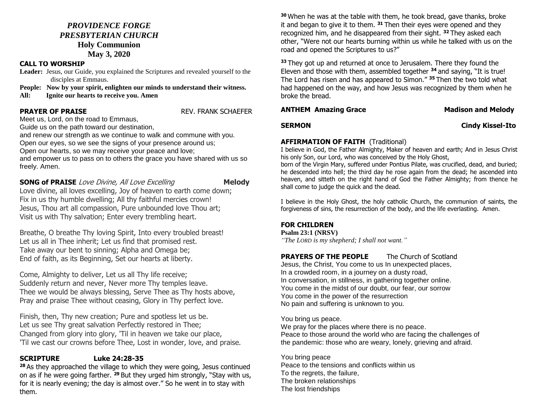## *PROVIDENCE FORGE PRESBYTERIAN CHURCH* **Holy Communion**

# **May 3, 2020**

### **CALL TO WORSHIP**

**Leader:** Jesus, our Guide, you explained the Scriptures and revealed yourself to the disciples at Emmaus.

**People: Now by your spirit, enlighten our minds to understand their witness.**

**All: Ignite our hearts to receive you. Amen** 

**PRAYER OF PRAISE REV. FRANK SCHAEFER** 

Meet us, Lord, on the road to Emmaus,

Guide us on the path toward our destination,

and renew our strength as we continue to walk and commune with you.

Open our eyes, so we see the signs of your presence around us;

Open our hearts, so we may receive your peace and love;

and empower us to pass on to others the grace you have shared with us so freely. Amen.

**SONG of PRAISE** Love Divine, All Love Excelling **Melody** 

Love divine, all loves excelling, Joy of heaven to earth come down; Fix in us thy humble dwelling; All thy faithful mercies crown! Jesus, Thou art all compassion, Pure unbounded love Thou art; Visit us with Thy salvation; Enter every trembling heart.

Breathe, O breathe Thy loving Spirit, Into every troubled breast! Let us all in Thee inherit; Let us find that promised rest. Take away our bent to sinning; Alpha and Omega be; End of faith, as its Beginning, Set our hearts at liberty.

Come, Almighty to deliver, Let us all Thy life receive; Suddenly return and never, Never more Thy temples leave. Thee we would be always blessing, Serve Thee as Thy hosts above, Pray and praise Thee without ceasing, Glory in Thy perfect love.

Finish, then, Thy new creation; Pure and spotless let us be. Let us see Thy great salvation Perfectly restored in Thee; Changed from glory into glory, 'Til in heaven we take our place, 'Til we cast our crowns before Thee, Lost in wonder, love, and praise.

# **SCRIPTURE Luke 24:28-35**

**<sup>28</sup>** As they approached the village to which they were going, Jesus continued on as if he were going farther. **<sup>29</sup>** But they urged him strongly, "Stay with us, for it is nearly evening; the day is almost over." So he went in to stay with them.

**<sup>30</sup>** When he was at the table with them, he took bread, gave thanks, broke it and began to give it to them. **<sup>31</sup>** Then their eyes were opened and they recognized him, and he disappeared from their sight. **<sup>32</sup>** They asked each other, "Were not our hearts burning within us while he talked with us on the road and opened the Scriptures to us?"

**<sup>33</sup>** They got up and returned at once to Jerusalem. There they found the Eleven and those with them, assembled together **<sup>34</sup>** and saying, "It is true! The Lord has risen and has appeared to Simon." **<sup>35</sup>** Then the two told what had happened on the way, and how Jesus was recognized by them when he broke the bread.

## **ANTHEM Amazing Grace Madison and Melody**

### **SERMON Cindy Kissel-Ito**

## **AFFIRMATION OF FAITH (Traditional)**

I believe in God, the Father Almighty, Maker of heaven and earth; And in Jesus Christ his only Son, our Lord, who was conceived by the Holy Ghost,

born of the Virgin Mary, suffered under Pontius Pilate, was crucified, dead, and buried; he descended into hell; the third day he rose again from the dead; he ascended into heaven, and sitteth on the right hand of God the Father Almighty; from thence he shall come to judge the quick and the dead.

I believe in the Holy Ghost, the holy catholic Church, the communion of saints, the forgiveness of sins, the resurrection of the body, and the life everlasting. Amen.

## **FOR CHILDREN**

**Psalm 23:1 (NRSV)**

*"The LORD is my shepherd; I shall not want."*

**PRAYERS OF THE PEOPLE** The Church of Scotland Jesus, the Christ, You come to us In unexpected places, In a crowded room, in a journey on a dusty road,

In conversation, in stillness, in gathering together online. You come in the midst of our doubt, our fear, our sorrow You come in the power of the resurrection No pain and suffering is unknown to you.

You bring us peace.

We pray for the places where there is no peace. Peace to those around the world who are facing the challenges of the pandemic: those who are weary, lonely, grieving and afraid.

You bring peace Peace to the tensions and conflicts within us To the regrets, the failure, The broken relationships The lost friendships